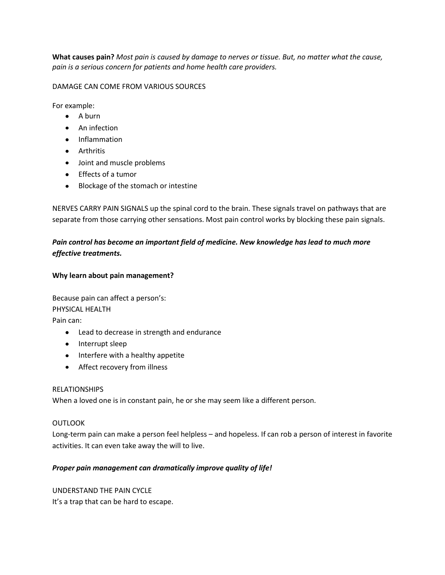**What causes pain?** *Most pain is caused by damage to nerves or tissue. But, no matter what the cause, pain is a serious concern for patients and home health care providers.*

DAMAGE CAN COME FROM VARIOUS SOURCES

For example:

- $\bullet$  A burn
- An infection
- Inflammation
- Arthritis
- Joint and muscle problems
- Effects of a tumor
- Blockage of the stomach or intestine

NERVES CARRY PAIN SIGNALS up the spinal cord to the brain. These signals travel on pathways that are separate from those carrying other sensations. Most pain control works by blocking these pain signals.

## *Pain control has become an important field of medicine. New knowledge has lead to much more effective treatments.*

## **Why learn about pain management?**

Because pain can affect a person's: PHYSICAL HEALTH Pain can:

- Lead to decrease in strength and endurance
- Interrupt sleep
- Interfere with a healthy appetite
- Affect recovery from illness

## RELATIONSHIPS

When a loved one is in constant pain, he or she may seem like a different person.

#### **OUTLOOK**

Long-term pain can make a person feel helpless – and hopeless. If can rob a person of interest in favorite activities. It can even take away the will to live.

## *Proper pain management can dramatically improve quality of life!*

UNDERSTAND THE PAIN CYCLE It's a trap that can be hard to escape.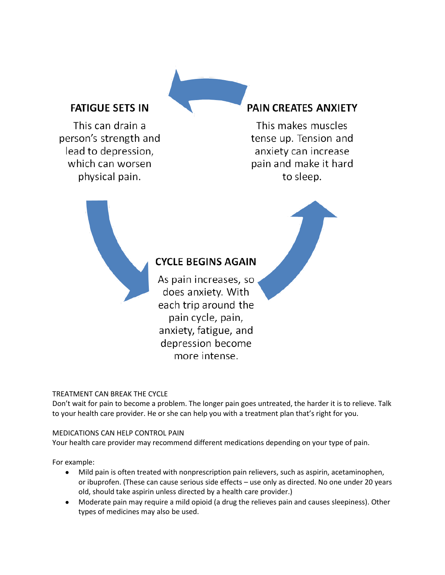# **FATIGUE SETS IN**

This can drain a person's strength and lead to depression, which can worsen physical pain.

# PAIN CREATES ANXIETY

This makes muscles tense up. Tension and anxiety can increase pain and make it hard to sleep.



## TREATMENT CAN BREAK THE CYCLE

Don't wait for pain to become a problem. The longer pain goes untreated, the harder it is to relieve. Talk to your health care provider. He or she can help you with a treatment plan that's right for you.

#### MEDICATIONS CAN HELP CONTROL PAIN

Your health care provider may recommend different medications depending on your type of pain.

For example:

- Mild pain is often treated with nonprescription pain relievers, such as aspirin, acetaminophen,  $\bullet$ or ibuprofen. (These can cause serious side effects – use only as directed. No one under 20 years old, should take aspirin unless directed by a health care provider.)
- Moderate pain may require a mild opioid (a drug the relieves pain and causes sleepiness). Other types of medicines may also be used.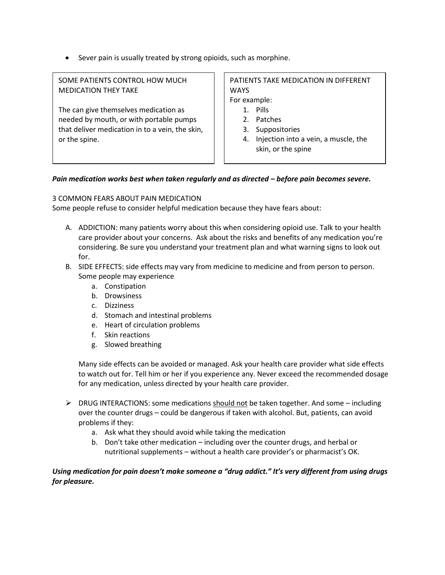Sever pain is usually treated by strong opioids, such as morphine.

SOME PATIENTS CONTROL HOW MUCH MEDICATION THEY TAKE

The can give themselves medication as needed by mouth, or with portable pumps that deliver medication in to a vein, the skin, or the spine.

## PATIENTS TAKE MEDICATION IN DIFFERENT WAYS For example:

- 1. Pills
- 2. Patches
- 3. Suppositories
- 4. Injection into a vein, a muscle, the skin, or the spine

#### *Pain medication works best when taken regularly and as directed – before pain becomes severe.*

#### 3 COMMON FEARS ABOUT PAIN MEDICATION

Some people refuse to consider helpful medication because they have fears about:

- A. ADDICTION: many patients worry about this when considering opioid use. Talk to your health care provider about your concerns. Ask about the risks and benefits of any medication you're considering. Be sure you understand your treatment plan and what warning signs to look out for.
- B. SIDE EFFECTS: side effects may vary from medicine to medicine and from person to person. Some people may experience
	- a. Constipation
	- b. Drowsiness
	- c. Dizziness
	- d. Stomach and intestinal problems
	- e. Heart of circulation problems
	- f. Skin reactions
	- g. Slowed breathing

Many side effects can be avoided or managed. Ask your health care provider what side effects to watch out for. Tell him or her if you experience any. Never exceed the recommended dosage for any medication, unless directed by your health care provider.

- $\triangleright$  DRUG INTERACTIONS: some medications should not be taken together. And some including over the counter drugs – could be dangerous if taken with alcohol. But, patients, can avoid problems if they:
	- a. Ask what they should avoid while taking the medication
	- b. Don't take other medication including over the counter drugs, and herbal or nutritional supplements – without a health care provider's or pharmacist's OK.

#### *Using medication for pain doesn't make someone a "drug addict." It's very different from using drugs for pleasure.*